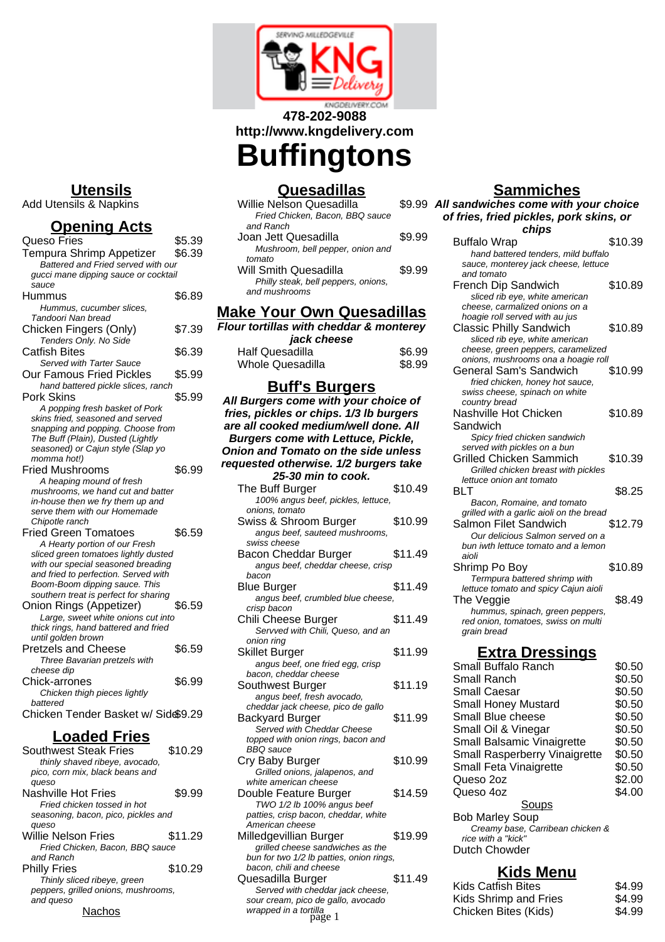

# **478-202-9088 http://www.kngdelivery.com**

# **Buffingtons**

# **Quesadillas**

| <b>Willie Nelson Quesadilla</b> |                                     | \$9.99 |
|---------------------------------|-------------------------------------|--------|
|                                 | Fried Chicken, Bacon, BBQ sauce     |        |
| and Ranch                       |                                     |        |
| Joan Jett Quesadilla            |                                     | \$9.99 |
|                                 | Mushroom, bell pepper, onion and    |        |
| tomato                          |                                     |        |
| Will Smith Quesadilla           |                                     | \$9.99 |
|                                 | Philly steak, bell peppers, onions, |        |
| and mushrooms                   |                                     |        |
|                                 |                                     |        |

#### **Make Your Own Quesadillas**

| Flour tortillas with cheddar & monterey<br>jack cheese |        |
|--------------------------------------------------------|--------|
| Half Quesadilla                                        | \$6.99 |
| <b>Whole Quesadilla</b>                                | \$8.99 |

#### **Buff's Burgers**

| <u>buil s'hurgers</u>                                    |         |
|----------------------------------------------------------|---------|
| All Burgers come with your choice of                     |         |
| fries, pickles or chips. 1/3 lb burgers                  |         |
| are all cooked medium/well done. All                     |         |
| <b>Burgers come with Lettuce, Pickle,</b>                |         |
| <b>Onion and Tomato on the side unless</b>               |         |
| requested otherwise. 1/2 burgers take                    |         |
| 25-30 min to cook.                                       |         |
| The Buff Burger                                          | \$10.49 |
| 100% angus beef, pickles, lettuce,                       |         |
| onions, tomato                                           |         |
| Swiss & Shroom Burger                                    | \$10.99 |
| angus beef, sauteed mushrooms,                           |         |
| swiss cheese                                             |         |
| Bacon Cheddar Burger                                     | \$11.49 |
| angus beef, cheddar cheese, crisp                        |         |
| bacon                                                    |         |
| Blue Burger                                              | \$11.49 |
| angus beef, crumbled blue cheese,                        |         |
| crisp bacon                                              | \$11.49 |
| Chili Cheese Burger<br>Servved with Chili, Queso, and an |         |
| onion ring                                               |         |
| <b>Skillet Burger</b>                                    | \$11.99 |
| angus beef, one fried egg, crisp                         |         |
| bacon, cheddar cheese                                    |         |
| Southwest Burger                                         | \$11.19 |
| angus beef, fresh avocado,                               |         |
| cheddar jack cheese, pico de gallo                       |         |
| Backyard Burger                                          | \$11.99 |
| Served with Cheddar Cheese                               |         |
| topped with onion rings, bacon and                       |         |
| BBQ sauce                                                |         |
| Cry Baby Burger                                          | \$10.99 |
| Grilled onions, jalapenos, and<br>white american cheese  |         |
| Double Feature Burger                                    | \$14.59 |
| TWO 1/2 lb 100% angus beef                               |         |
| patties, crisp bacon, cheddar, white                     |         |
| American cheese                                          |         |
| Milledgevillian Burger                                   | \$19.99 |
| grilled cheese sandwiches as the                         |         |
| bun for two 1/2 lb patties, onion rings,                 |         |
| bacon, chili and cheese                                  |         |

Quesadilla Burger \$11.49 Served with cheddar jack cheese, sour cream, pico de gallo, avocado

wrapped in a tortilla<br>page 1

### **Sammiches All sandwiches come with your choice**

| of fries, fried pickles, pork skins, or<br>chips                          |         |  |
|---------------------------------------------------------------------------|---------|--|
| <b>Buffalo Wrap</b>                                                       | \$10.39 |  |
| hand battered tenders, mild buffalo                                       |         |  |
| sauce, monterey jack cheese, lettuce                                      |         |  |
| and tomato                                                                |         |  |
| <b>French Dip Sandwich</b>                                                | \$10.89 |  |
| sliced rib eye, white american                                            |         |  |
| cheese, carmalized onions on a                                            |         |  |
| hoagie roll served with au jus                                            |         |  |
| <b>Classic Philly Sandwich</b>                                            | \$10.89 |  |
| sliced rib eye, white american                                            |         |  |
| cheese, green peppers, caramelized<br>onions, mushrooms ona a hoagie roll |         |  |
| General Sam's Sandwich                                                    | \$10.99 |  |
| fried chicken, honey hot sauce,                                           |         |  |
| swiss cheese, spinach on white                                            |         |  |
| country bread                                                             |         |  |
| Nashville Hot Chicken                                                     | \$10.89 |  |
| Sandwich                                                                  |         |  |
| Spicy fried chicken sandwich                                              |         |  |
| served with pickles on a bun                                              |         |  |
| Grilled Chicken Sammich                                                   | \$10.39 |  |
| Grilled chicken breast with pickles                                       |         |  |
| lettuce onion ant tomato                                                  |         |  |
| <b>BLT</b>                                                                | \$8.25  |  |
| Bacon, Romaine, and tomato                                                |         |  |
| grilled with a garlic aioli on the bread                                  |         |  |
| Salmon Filet Sandwich                                                     | \$12.79 |  |
| Our delicious Salmon served on a                                          |         |  |
| bun iwth lettuce tomato and a lemon                                       |         |  |
| aioli                                                                     |         |  |
| Shrimp Po Boy                                                             | \$10.89 |  |
| Termpura battered shrimp with                                             |         |  |
| lettuce tomato and spicy Cajun aioli                                      |         |  |
| The Veggie                                                                | \$8.49  |  |
| hummus, spinach, green peppers,                                           |         |  |
| red onion, tomatoes, swiss on multi                                       |         |  |
| grain bread                                                               |         |  |
| <u>Extra Dressings</u>                                                    |         |  |

| СХИА ГЛЕЗЭШУЭ                        |        |
|--------------------------------------|--------|
| Small Buffalo Ranch                  | \$0.50 |
| Small Ranch                          | \$0.50 |
| Small Caesar                         | \$0.50 |
| <b>Small Honey Mustard</b>           | \$0.50 |
| Small Blue cheese                    | \$0.50 |
| Small Oil & Vinegar                  | \$0.50 |
| Small Balsamic Vinaigrette           | \$0.50 |
| <b>Small Rasperberry Vinaigrette</b> | \$0.50 |
| Small Feta Vinaigrette               | \$0.50 |
| Queso 2oz                            | \$2.00 |
| Queso 4oz                            | \$4.00 |
| Soups                                |        |
| <b>Bob Marley Soup</b>               |        |
| Creamy base, Carribean chicken &     |        |
|                                      |        |

rice with a "kick" Dutch Chowder

#### **Kids Menu**

| ya<br>58. 1 ل          |                           |        |
|------------------------|---------------------------|--------|
| heddar jack cheese.    | <b>Kids Catfish Bites</b> | \$4.99 |
| o de gallo, avocado    | Kids Shrimp and Fries     | \$4.99 |
| <i>tilla</i><br>page 1 | Chicken Bites (Kids)      | \$4.99 |

## **Utensils**

Add Utensils & Napkins

#### **Opening Acts**

| Queso Fries                                                                | \$5.39 |
|----------------------------------------------------------------------------|--------|
| Tempura Shrimp Appetizer                                                   | \$6.39 |
| Battered and Fried served with our                                         |        |
| gucci mane dipping sauce or cocktail                                       |        |
| sauce                                                                      |        |
| Hummus                                                                     | \$6.89 |
| Hummus, cucumber slices,                                                   |        |
| Tandoori Nan bread                                                         |        |
| Chicken Fingers (Only)                                                     | \$7.39 |
| Tenders Only. No Side                                                      |        |
| Catfish Bites                                                              | \$6.39 |
| Served with Tarter Sauce                                                   |        |
| <b>Our Famous Fried Pickles</b>                                            | \$5.99 |
| hand battered pickle slices, ranch                                         |        |
| Pork Skins                                                                 | \$5.99 |
| A popping fresh basket of Pork                                             |        |
| skins fried, seasoned and served                                           |        |
| snapping and popping. Choose from                                          |        |
| The Buff (Plain), Dusted (Lightly                                          |        |
| seasoned) or Cajun style (Slap yo                                          |        |
| momma hot!)                                                                |        |
| <b>Fried Mushrooms</b>                                                     | \$6.99 |
| A heaping mound of fresh                                                   |        |
| mushrooms, we hand cut and batter                                          |        |
| in-house then we fry them up and                                           |        |
| serve them with our Homemade                                               |        |
| Chipotle ranch                                                             |        |
| <b>Fried Green Tomatoes</b>                                                | \$6.59 |
| A Hearty portion of our Fresh                                              |        |
| sliced green tomatoes lightly dusted                                       |        |
| with our special seasoned breading<br>and fried to perfection. Served with |        |
| Boom-Boom dipping sauce. This                                              |        |
| southern treat is perfect for sharing                                      |        |
| Onion Rings (Appetizer)                                                    | \$6.59 |
| Large, sweet white onions cut into                                         |        |
| thick rings, hand battered and fried                                       |        |
| until golden brown                                                         |        |
| <b>Pretzels and Cheese</b>                                                 | \$6.59 |
| Three Bavarian pretzels with                                               |        |
| cheese dip                                                                 |        |
| Chick-arrones                                                              | \$6.99 |
| Chicken thigh pieces lightly                                               |        |
| battered                                                                   |        |
| Chicken Tender Basket w/ Side\$9.29                                        |        |
|                                                                            |        |
| l aadad Eriac                                                              |        |

# **Loaded Fries**

| Southwest Steak Fries               | \$10.29 |
|-------------------------------------|---------|
| thinly shaved ribeye, avocado,      |         |
| pico, corn mix, black beans and     |         |
| queso                               |         |
| Nashville Hot Fries                 | \$9.99  |
| Fried chicken tossed in hot         |         |
| seasoning, bacon, pico, pickles and |         |
| queso                               |         |
| Willie Nelson Fries                 | \$11.29 |
| Fried Chicken, Bacon, BBQ sauce     |         |
| and Ranch                           |         |
| Philly Fries                        | \$10.29 |
| Thinly sliced ribeye, green         |         |
| peppers, grilled onions, mushrooms, |         |
| and queso                           |         |
| Nach                                |         |